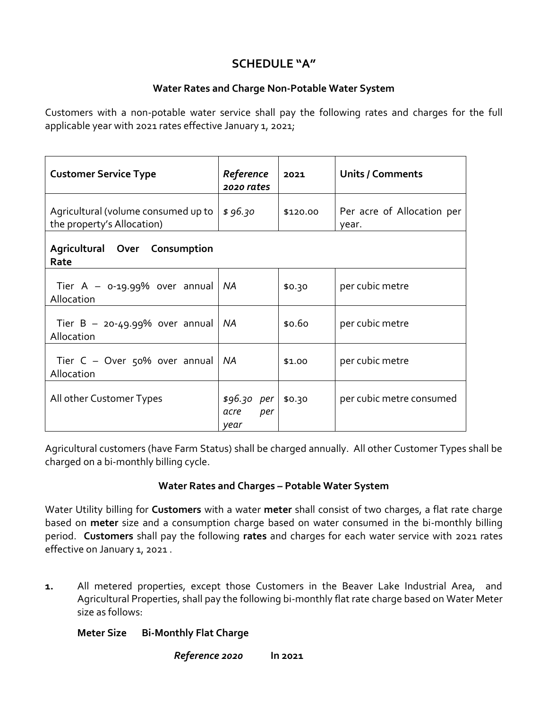# **SCHEDULE "A"**

## **Water Rates and Charge Non-Potable Water System**

Customers with a non-potable water service shall pay the following rates and charges for the full applicable year with 2021 rates effective January 1, 2021;

| <b>Customer Service Type</b>                                      | Reference<br>2020 rates             | 2021     | <b>Units / Comments</b>             |  |
|-------------------------------------------------------------------|-------------------------------------|----------|-------------------------------------|--|
| Agricultural (volume consumed up to<br>the property's Allocation) | \$96.30                             | \$120.00 | Per acre of Allocation per<br>year. |  |
| Agricultural Over Consumption<br>Rate                             |                                     |          |                                     |  |
| Tier $A - 0.19.99%$ over annual<br>Allocation                     | NA                                  | \$0.30   | per cubic metre                     |  |
| Tier $B - 20 - 49.99%$ over annual<br>Allocation                  | <b>NA</b>                           | \$0.60   | per cubic metre                     |  |
| Tier $C -$ Over 50% over annual<br>Allocation                     | <b>NA</b>                           | \$1.00   | per cubic metre                     |  |
| All other Customer Types                                          | $$96.30$ per<br>per<br>acre<br>vear | \$0.30   | per cubic metre consumed            |  |

Agricultural customers (have Farm Status) shall be charged annually. All other Customer Types shall be charged on a bi-monthly billing cycle.

## **Water Rates and Charges – Potable Water System**

Water Utility billing for **Customers** with a water **meter** shall consist of two charges, a flat rate charge based on **meter** size and a consumption charge based on water consumed in the bi-monthly billing period. **Customers** shall pay the following **rates** and charges for each water service with 2021 rates effective on January 1, 2021.

**1.** All metered properties, except those Customers in the Beaver Lake Industrial Area, and Agricultural Properties, shall pay the following bi-monthly flat rate charge based on Water Meter size as follows:

## **Meter Size Bi-Monthly Flat Charge**

*Reference 2020* **In 2021**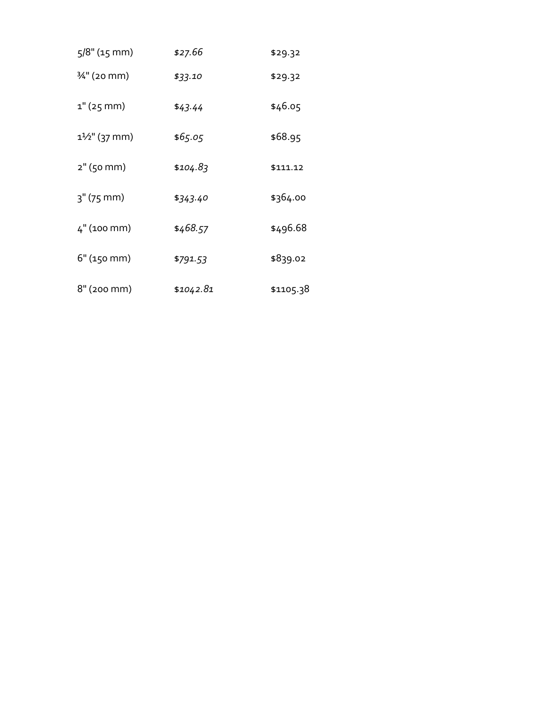| $5/8$ " (15 mm)          | \$27.66   | \$29.32   |
|--------------------------|-----------|-----------|
| 3⁄4" (20 mm)             | \$33.10   | \$29.32   |
| $1"$ (25 mm)             | \$43.44   | \$46.05   |
| $1\frac{1}{2}$ " (37 mm) | \$65.05   | \$68.95   |
| 2" (50 mm)               | \$104.83  | \$111.12  |
| $3''$ (75 mm)            | \$343.40  | \$364.00  |
| 4" (100 mm)              | \$468.57  | \$496.68  |
| 6" (150 mm)              | \$791.53  | \$839.02  |
| $8"$ (200 mm)            | \$1042.81 | \$1105.38 |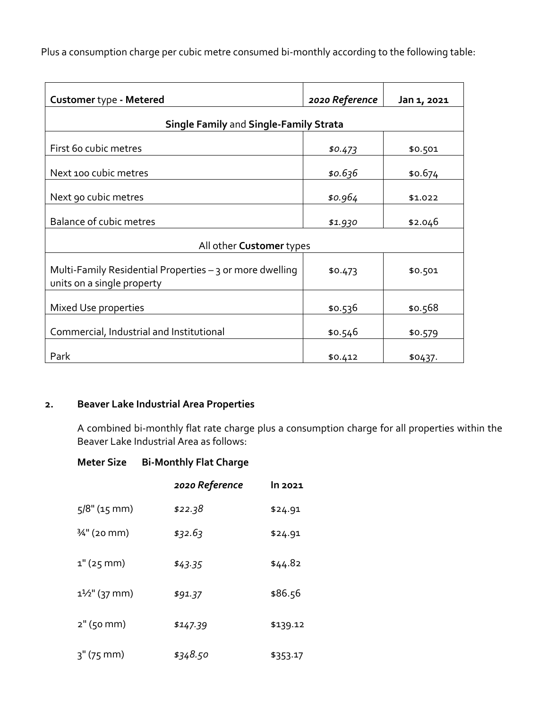Plus a consumption charge per cubic metre consumed bi-monthly according to the following table:

| Customer type - Metered                                                                | 2020 Reference | Jan 1, 2021 |  |
|----------------------------------------------------------------------------------------|----------------|-------------|--|
| <b>Single Family and Single-Family Strata</b>                                          |                |             |  |
| First 60 cubic metres                                                                  | \$0.473        | \$0.501     |  |
| Next 100 cubic metres                                                                  | \$0.636        | \$0.674     |  |
| Next 90 cubic metres                                                                   | \$0.964        | \$1.022     |  |
| Balance of cubic metres                                                                | \$1.930        | \$2.046     |  |
| All other Customer types                                                               |                |             |  |
| Multi-Family Residential Properties - 3 or more dwelling<br>units on a single property | \$0.473        | \$0.501     |  |
| Mixed Use properties                                                                   | \$0.536        | \$0.568     |  |
| Commercial, Industrial and Institutional                                               | \$0.546        | \$0.579     |  |
| Park                                                                                   | \$0.412        | \$0437.     |  |

#### **2. Beaver Lake Industrial Area Properties**

A combined bi-monthly flat rate charge plus a consumption charge for all properties within the Beaver Lake Industrial Area as follows:

#### **Meter Size Bi-Monthly Flat Charge**

|                          | 2020 Reference | In 2021  |
|--------------------------|----------------|----------|
| $5/8$ " (15 mm)          | \$22.38        | \$24.91  |
| 3⁄4" (20 mm)             | \$32.63        | \$24.91  |
| 1" (25 mm)               | \$43.35        | \$44.82  |
| $1\frac{1}{2}$ " (37 mm) | \$91.37        | \$86.56  |
| $2"$ (50 mm)             | \$147.39       | \$139.12 |
| $3''$ (75 mm)            | \$348.50       | \$353.17 |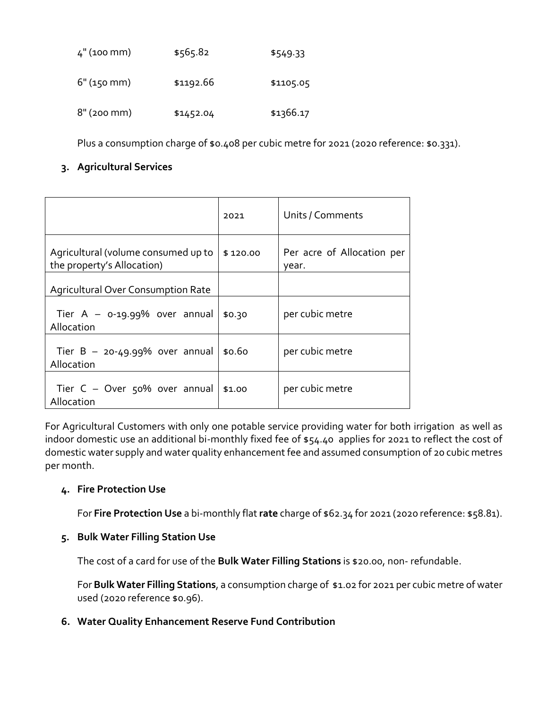| $4"$ (100 mm) | \$565.82  | \$549.33  |
|---------------|-----------|-----------|
| $6"$ (150 mm) | \$1192.66 | \$1105.05 |
| $8"$ (200 mm) | \$1452.04 | \$1366.17 |

Plus a consumption charge of \$0.408 per cubic metre for 2021 (2020 reference: \$0.331).

### **3. Agricultural Services**

|                                                                   | 2021     | Units / Comments                    |
|-------------------------------------------------------------------|----------|-------------------------------------|
| Agricultural (volume consumed up to<br>the property's Allocation) | \$120.00 | Per acre of Allocation per<br>year. |
| <b>Agricultural Over Consumption Rate</b>                         |          |                                     |
| Tier $A - 0.19.99\%$ over annual<br>Allocation                    | \$0.30   | per cubic metre                     |
| Tier $B - 20 - 49.99%$ over annual<br>Allocation                  | \$0.60   | per cubic metre                     |
| Tier $C -$ Over 50% over annual<br>Allocation                     | \$1.00   | per cubic metre                     |

For Agricultural Customers with only one potable service providing water for both irrigation as well as indoor domestic use an additional bi-monthly fixed fee of \$54.40 applies for 2021 to reflect the cost of domestic water supply and water quality enhancement fee and assumed consumption of 20 cubic metres per month.

#### **4. Fire Protection Use**

For **Fire Protection Use** a bi-monthly flat **rate** charge of \$62.34 for 2021 (2020 reference: \$58.81).

#### **5. Bulk Water Filling Station Use**

The cost of a card for use of the **Bulk Water Filling Stations** is \$20.00, non- refundable.

For **Bulk Water Filling Stations**, a consumption charge of \$1.02 for 2021 per cubic metre of water used (2020 reference \$0.96).

#### **6. Water Quality Enhancement Reserve Fund Contribution**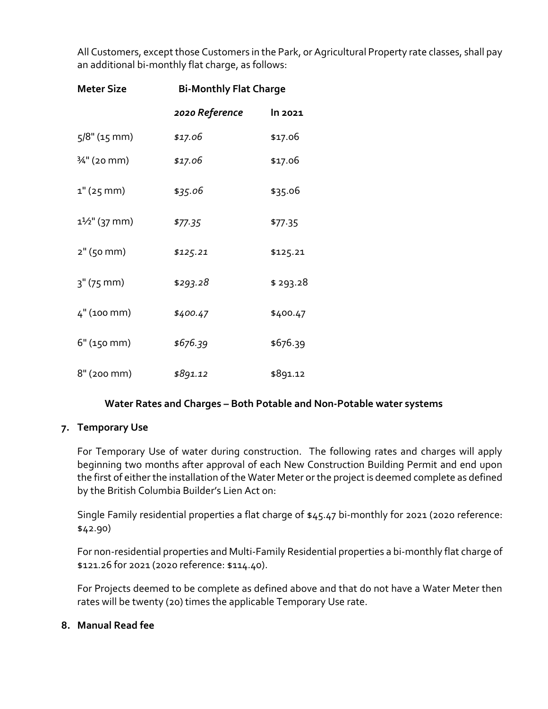All Customers, except those Customers in the Park, or Agricultural Property rate classes, shall pay an additional bi-monthly flat charge, as follows:

| <b>Meter Size</b> | <b>Bi-Monthly Flat Charge</b> |           |  |
|-------------------|-------------------------------|-----------|--|
|                   | 2020 Reference                | In 2021   |  |
| 5/8" (15 mm)      | \$17.06                       | \$17.06   |  |
| 3⁄4" (20 mm)      | \$17.06                       | \$17.06   |  |
| $1"$ (25 mm)      | \$35.06                       | \$35.06   |  |
| 11/2" (37 mm)     | \$77.35                       | \$77.35   |  |
| 2" (50 mm)        | \$125.21                      | \$125.21  |  |
| 3" (75 mm)        | \$293.28                      | \$ 293.28 |  |
| 4" (100 mm)       | \$400.47                      | \$400.47  |  |
| 6" (150 mm)       | \$676.39                      | \$676.39  |  |
| 8" (200 mm)       | \$891.12                      | \$891.12  |  |

#### **Water Rates and Charges – Both Potable and Non-Potable water systems**

#### **7. Temporary Use**

For Temporary Use of water during construction. The following rates and charges will apply beginning two months after approval of each New Construction Building Permit and end upon the first of either the installation of the Water Meter or the project is deemed complete as defined by the British Columbia Builder's Lien Act on:

Single Family residential properties a flat charge of \$45.47 bi-monthly for 2021 (2020 reference: \$42.90)

For non-residential properties and Multi-Family Residential properties a bi-monthly flat charge of \$121.26 for 2021 (2020 reference: \$114.40).

For Projects deemed to be complete as defined above and that do not have a Water Meter then rates will be twenty (20) times the applicable Temporary Use rate.

#### **8. Manual Read fee**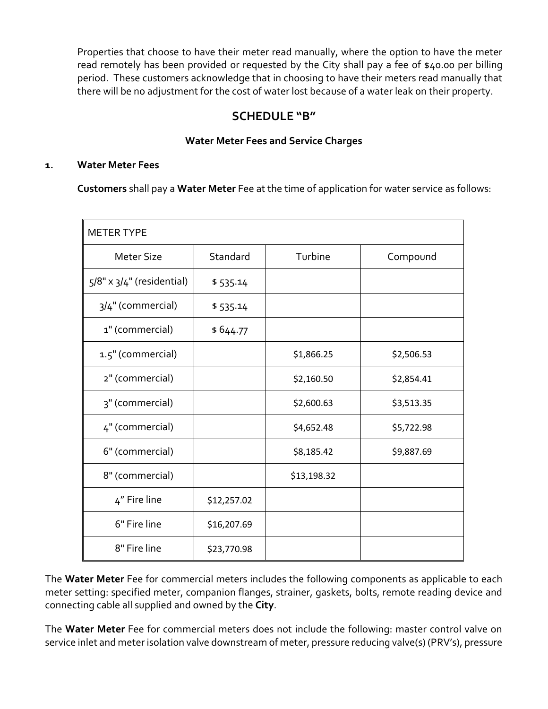Properties that choose to have their meter read manually, where the option to have the meter read remotely has been provided or requested by the City shall pay a fee of \$40.00 per billing period. These customers acknowledge that in choosing to have their meters read manually that there will be no adjustment for the cost of water lost because of a water leak on their property.

## **SCHEDULE "B"**

## **Water Meter Fees and Service Charges**

#### **1. Water Meter Fees**

**Customers** shall pay a **Water Meter** Fee at the time of application for water service as follows:

| <b>METER TYPE</b>                |             |             |            |
|----------------------------------|-------------|-------------|------------|
| <b>Meter Size</b>                | Standard    | Turbine     | Compound   |
| $5/8" \times 3/4"$ (residential) | \$535.14    |             |            |
| 3/4" (commercial)                | \$535.14    |             |            |
| 1" (commercial)                  | \$644.77    |             |            |
| 1.5" (commercial)                |             | \$1,866.25  | \$2,506.53 |
| 2" (commercial)                  |             | \$2,160.50  | \$2,854.41 |
| 3" (commercial)                  |             | \$2,600.63  | \$3,513.35 |
| 4" (commercial)                  |             | \$4,652.48  | \$5,722.98 |
| 6" (commercial)                  |             | \$8,185.42  | \$9,887.69 |
| 8" (commercial)                  |             | \$13,198.32 |            |
| 4" Fire line                     | \$12,257.02 |             |            |
| 6" Fire line                     | \$16,207.69 |             |            |
| 8" Fire line                     | \$23,770.98 |             |            |

The **Water Meter** Fee for commercial meters includes the following components as applicable to each meter setting: specified meter, companion flanges, strainer, gaskets, bolts, remote reading device and connecting cable all supplied and owned by the **City**.

The **Water Meter** Fee for commercial meters does not include the following: master control valve on service inlet and meter isolation valve downstream of meter, pressure reducing valve(s) (PRV's), pressure